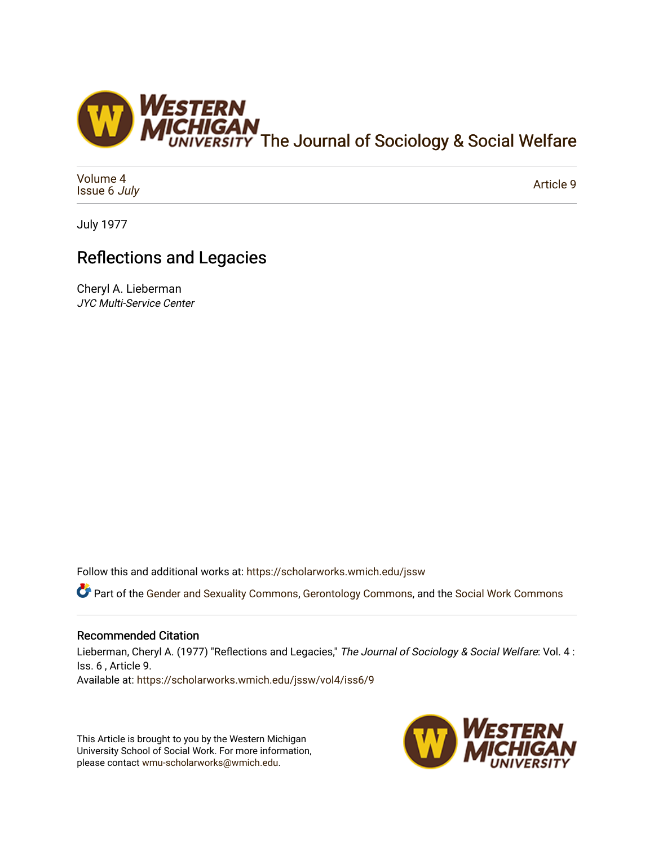

[Volume 4](https://scholarworks.wmich.edu/jssw/vol4) [Issue 6](https://scholarworks.wmich.edu/jssw/vol4/iss6) July

[Article 9](https://scholarworks.wmich.edu/jssw/vol4/iss6/9) 

July 1977

# Reflections and Legacies

Cheryl A. Lieberman JYC Multi-Service Center

Follow this and additional works at: [https://scholarworks.wmich.edu/jssw](https://scholarworks.wmich.edu/jssw?utm_source=scholarworks.wmich.edu%2Fjssw%2Fvol4%2Fiss6%2F9&utm_medium=PDF&utm_campaign=PDFCoverPages) 

Part of the [Gender and Sexuality Commons](http://network.bepress.com/hgg/discipline/420?utm_source=scholarworks.wmich.edu%2Fjssw%2Fvol4%2Fiss6%2F9&utm_medium=PDF&utm_campaign=PDFCoverPages), [Gerontology Commons](http://network.bepress.com/hgg/discipline/1276?utm_source=scholarworks.wmich.edu%2Fjssw%2Fvol4%2Fiss6%2F9&utm_medium=PDF&utm_campaign=PDFCoverPages), and the [Social Work Commons](http://network.bepress.com/hgg/discipline/713?utm_source=scholarworks.wmich.edu%2Fjssw%2Fvol4%2Fiss6%2F9&utm_medium=PDF&utm_campaign=PDFCoverPages)

# Recommended Citation

Lieberman, Cheryl A. (1977) "Reflections and Legacies," The Journal of Sociology & Social Welfare: Vol. 4 : Iss. 6 , Article 9. Available at: [https://scholarworks.wmich.edu/jssw/vol4/iss6/9](https://scholarworks.wmich.edu/jssw/vol4/iss6/9?utm_source=scholarworks.wmich.edu%2Fjssw%2Fvol4%2Fiss6%2F9&utm_medium=PDF&utm_campaign=PDFCoverPages) 

This Article is brought to you by the Western Michigan University School of Social Work. For more information, please contact [wmu-scholarworks@wmich.edu.](mailto:wmu-scholarworks@wmich.edu)

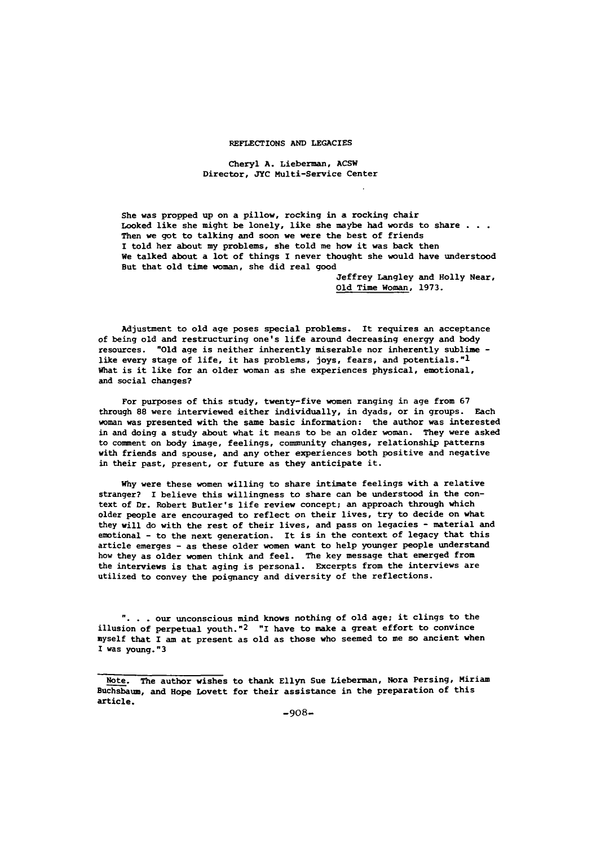#### REFLECTIONS **AND** LEGACIES

### Cheryl **A.** Lieberman, **ACSW** Director, JYC Multi-Service Center

She was propped up on a pillow, rocking in a rocking chair Looked like she might be lonely, like she maybe had words to share **. . .** Then we got to talking and soon we were the best of friends I told her about my problems, she told me how it was back then We talked about a lot of things **I** never thought she would have understood **But** that old time woman, she did real good

Jeffrey Langley and Holly Near, **Old** Time Woman, **1973.**

Adjustment to old age poses special problems. It requires an acceptance of being old and restructuring one's life around decreasing energy and body resources. **"Old** age is neither inherently miserable nor inherently sublime like every stage of life, it has problems, joys, fears, and potentials."1 What is it like for an older woman as she experiences physical, emotional, and social changes?

For purposes of this study, twenty-five women ranging in age from **<sup>67</sup>** through **88** were interviewed either individually, in dyads, or in groups. Each woman was presented with the same basic information: the author was interested in and doing a study about what it means to be an older woman. They were asked to comment on body image, feelings, community changes, relationship patterns with friends and spouse, and any other experiences both positive and negative in their past, present, or future as they anticipate it.

**Why** were these women willing to share intimate feelings with a relative stranger? I believe this willingness to share can be understood in the context of Dr. Robert Butler's life review concept; an approach through which older people are encouraged to reflect on their lives, try to decide on what they will do with the rest of their lives, and pass on legacies **-** material and emotional - to the next generation. It is in the context of legacy that this article emerges **-** as these older women want to help younger people understand how they as older women think and feel. The key message that emerged from the interviews is that aging is personal. Excerpts from the interviews are utilized to convey the poignancy and diversity of the reflections.

**". ..** our unconscious mind knows nothing of old age; it clings to the illusion of perpetual youth."2 "I have to make a great effort to convince myself that I am at present as old as those who seemed to me so ancient when **I** was young."3

Note. The author wishes to thank Ellyn Sue Lieberman, Nora Persing, Miriam Buchsbaum, and Hope Lovett for their assistance in the preparation of this article.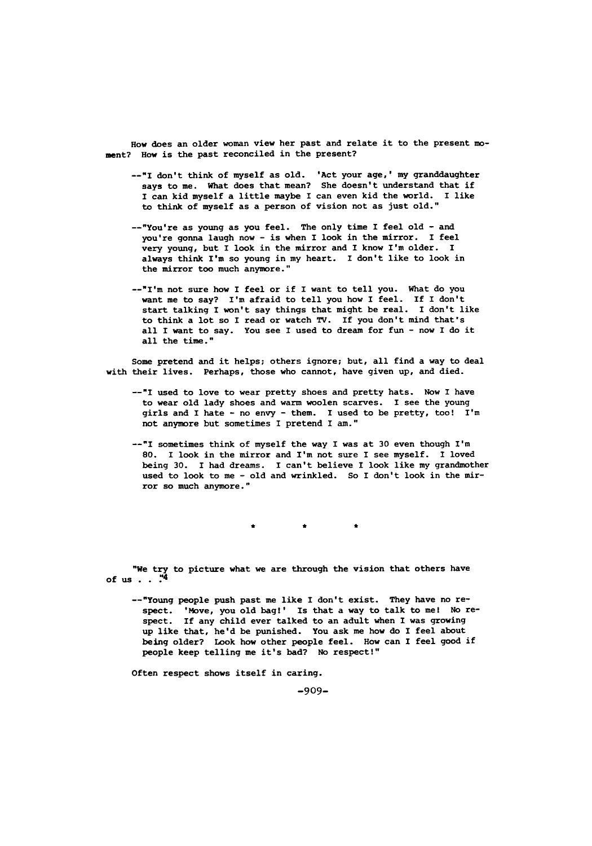How does an older woman view her past and relate it to the present **mo**ment? How is the past reconciled in the present?

- --"I don't think of myself as old. 'Act your age,' my granddaughter says to me. What does that mean? She doesn't understand that **if** I can kid myself a little maybe I can even kid the world. I like to think of myself as a person of vision not as just old."
- --"You're as young as you feel. The only time I feel old **-** and you're gonna laugh now **-** is when I look in the mirror. I feel very young, but I look in the mirror and **I** know I'm older. I always think I'm so young in my heart. I don't like to look in the mirror too much anymore."
- --"I'm not sure how I feel or if I want to tell you. What do you want me to say? I'm afraid to tell you how I feel. If I don't start talking I won't say things that might be real. I don't like to think a lot so I read or watch TV. If you don't mind that's all **I** want to say. You see I used to dream for fun **-** now I do it all the time."

Some pretend and it helps; others ignore; but, all find a way to deal with their lives. Perhaps, those who cannot, have given up, and died.

- **--"I** used to love to wear pretty shoes and pretty hats. Now **I** have to wear old lady shoes and warm woolen scarves. I see the young girls and I hate **-** no envy **-** them. **I** used to be pretty, too! I'm not anymore but sometimes I pretend **I** am."
- --"I sometimes think of myself the way I was at **30** even though I'm **80.** I look in the mirror and I'm not sure I see myself. **I** loved being **30. I** had dreams. **I** can't believe **I** look like my grandmother used to look to me **-** old and wrinkled. So I don't look in the mirror so much anymore."

 $\bullet$  $\bullet$  $\bullet$ 

"We try to picture what we are through the vision that others have **ofus. .4**

--"Young people push past me like I don't exist. They have no respect. 'Move, you old bag!' Is that a way to talk to me! No respect. If any child ever talked to an adult when I was growing up like that, he'd be punished. You ask me how do I feel about being older? Look how other people feel. How can I feel good if people keep telling me it's bad? No respect!"

Often respect shows itself in caring.

**-909-**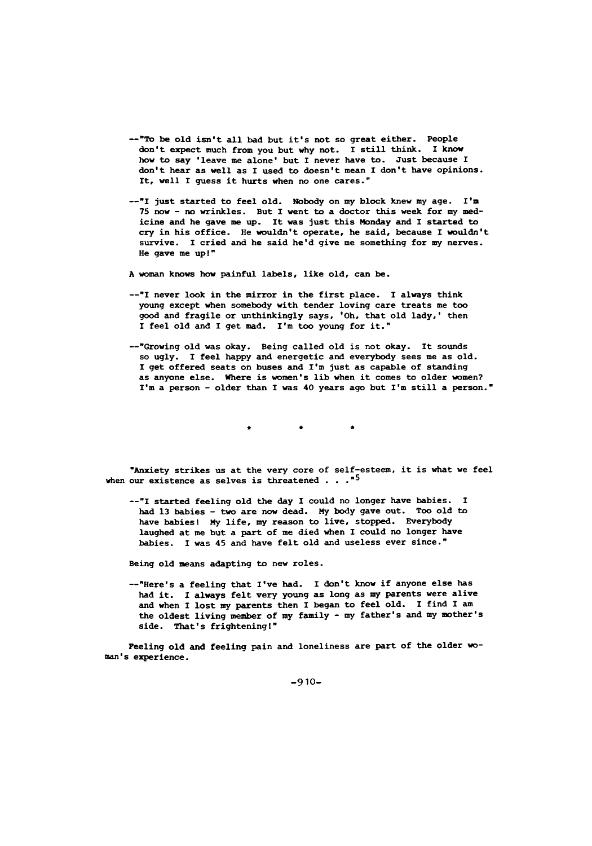- -"To be old isn't all bad but it's not so great either. People don't expect much from you but why not. I still think. I **know** how to say 'leave me alone' but I never have to. Just because I don't hear as well as **I** used to doesn't mean **I** don't have opinions. It, well I guess it hurts when no one cares."
- --"I just started to feel old. Nobody on my block knew my age. I'm **75** now **-** no wrinkles. But **I** went to a doctor this week for my medicine and he gave me up. It was just this Monday and **I** started to cry in his office. He wouldn't operate, he said, because I wouldn't survive. I cried and he said he'd give me something for my nerves. He gave me up!"
- **A** woman knows how painful labels, like old, can be.
- --"I never look in the mirror in the first place. I always think young except when somebody with tender loving care treats me too good and fragile or unthinkingly says, 'Oh, that old lady,' then I feel old and I get mad. I'm too young for it."
- --"Growing old was okay. Being called old is not okay. It sounds so ugly. I feel happy and energetic and everybody sees me as old. **I** get offered seats on buses and I'm just as capable of standing as anyone else. Where is women's lib when it comes to older women? I'm a person **-** older than **I** was 40 years ago but I'm still a person."

 $\bullet$  and  $\bullet$  and  $\bullet$ 

"Anxiety strikes us at the very core of self-esteem, it is what we feel when our existence as selves is threatened **. . .. 5**

-- "I started feeling old the day **I** could no longer have babies. I had **13** babies **-** two are now dead. **My** body gave out. Too old to have babies! My life, my reason to live, stopped. Everybody laughed at me but a part of me died when I could no longer have babies. I was 45 and have felt old and useless ever since."

Being old means adapting to new roles.

--"Here's a feeling that I've had. I don't know if anyone else has had it. **I** always felt very young as long as my parents were alive and when **I** lost **my** parents then I began to feel old. I find **I am** the oldest living member of my family **-** my father's and my mother's side. That's frightening!"

Feeling old and feeling pain and loneliness are part of the older woman's experience.

**-910-**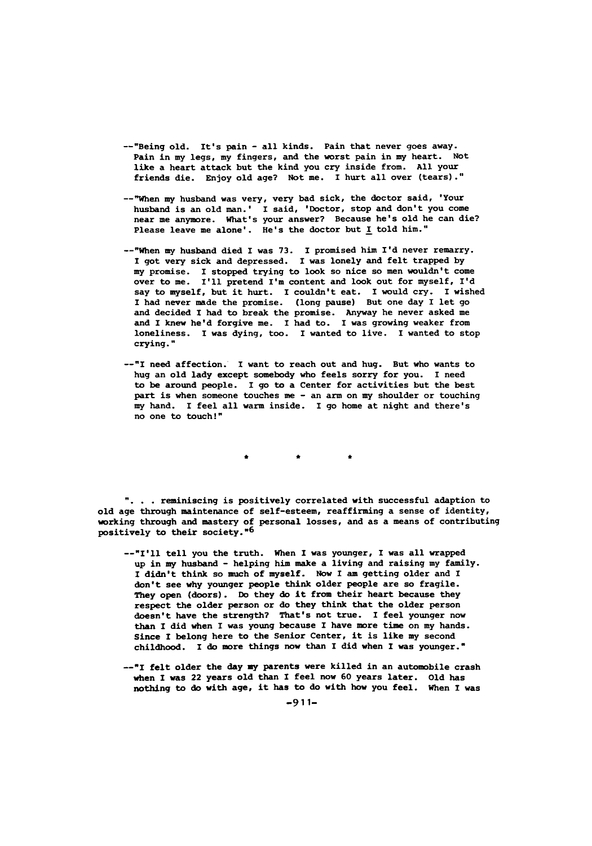- --"Being old. It's pain **-** all kinds. Pain that never goes away. Pain in my legs, my fingers, and the worst pain in my heart. Not like a heart attack but the kind you cry inside from. **All** your friends die. Enjoy old age? Not me. **I** hurt all over (tears)."
- --"When my husband was very, very bad sick, the doctor said, 'Your husband is an **old** man.' I said, 'Doctor, stop and don't you come near me anymore. What's your answer? Because he's old he can die? Please leave me alone'. He's the doctor but I told him."
- --"When my husband died I was **73. I** promised him I'd never remarry. **I** got very sick and depressed. **I** was lonely and felt trapped **by** my promise. I stopped trying to look so nice so men wouldn't come over to me. I'll pretend I'm content and look out for myself, I'd say to myself, but it hurt. I couldn't eat. I would cry. I wished **I** had never made the promise. (long pause) But one day I let go and decided **I** had to break the promise. Anyway he never asked me and I knew he'd forgive me. I had to. I was growing weaker from loneliness. **I** was dying, too. I wanted to live. I wanted to stop crying."
- **--"I** need affection. I want to reach out and hug. But who wants to hug an old lady except somebody who feels sorry for you. I need to be around people. I go to a Center for activities but the best part is when someone touches me **-** an arm on my shoulder or touching my hand. I feel all warm inside. I go home at night and there's no one to touch!"

". . . reminiscing is positively correlated with successful adaption to old age through maintenance of self-esteem, reaffirming a sense of identity, working through and mastery of personal losses, and as a means of contributing positively to their society."<sup>6</sup>

- **-- "I'll** tell you the truth. When **I** was younger, **I** was all wrapped up in my husband **-** helping him make a living and raising my family. **I** didn't think so much of myself. Now **I** am getting older and **<sup>I</sup>** don't see why younger people think older people are so fragile. They open (doors). Do they do it from their heart because they respect the older person or do they think that the older person doesn't have the strength? That's not true. I feel younger now than I did when I was young because I have more time on my hands. Since I belong here to the Senior Center, it is like my second childhood. I do more things now than **I** did when **I** was younger."
- --"I felt older the **day** my parents were killed in an automobile crash when I was 22 years old than **I** feel now **60** years later. **Old** has nothing to do with age, it has to **do** with how you feel. When **I** was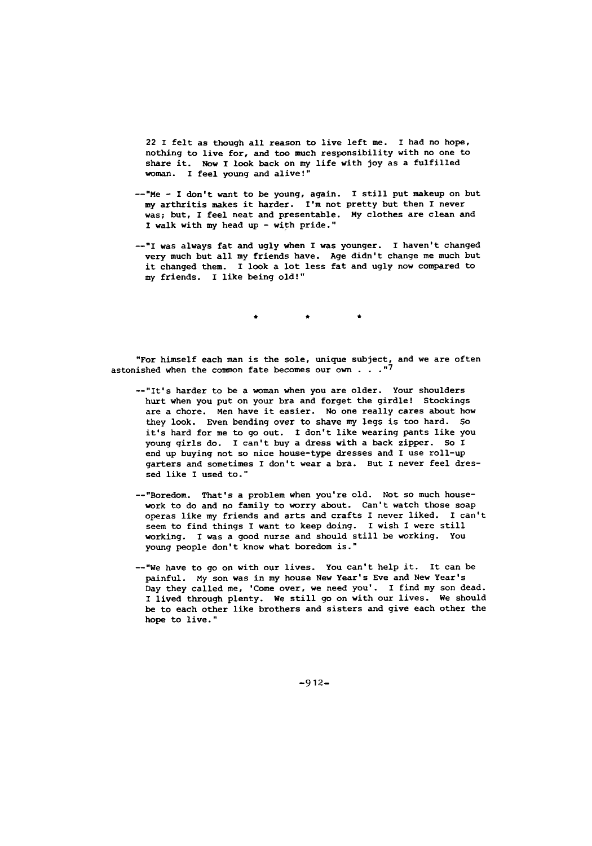22 **I** felt as though all reason to live left me. I had no hope, nothing to live for, and too much responsibility with no one to share it. Now **I** look back on my life with joy as a fulfilled woman. I feel young and alive!"

- -- "Me **-** I don't want to be young, again. I still put makeup on but my arthritis makes it harder. I'm not pretty but then I never was; but, **I** feel neat and presentable. My clothes are clean and **I** walk with my head up - with pride."
- --"I was always fat and ugly when I was younger. I haven't changed very much but all my friends have. Age didn't change me much but it changed them. I look a lot less fat and ugly now compared to my friends. I like being old!"

"For himself each man is the sole, unique subject, and we are often astonished when the common fate becomes our own . . **.,7**

- --"It's harder to be a woman when you are older. Your shoulders hurt when you put on your bra and forget the girdle! Stockings are a chore. Men have it easier. No one really cares about how they look. Even bending over to shave my legs is too hard. So it's hard for me to go out. I don't like wearing pants like you young girls do. I can't buy a dress with a back zipper. So **I** end up buying not so nice house-type dresses and I use roll-up garters and sometimes I don't wear a bra. But I never feel dressed like I used to."
- -- "Boredom. That's a problem when you're old. Not so much housework to do and no family to worry about. Can't watch those soap operas like my friends and arts and crafts I never liked. **I** can't seem to find things I want to keep doing. I wish **I** were still working. I was a good nurse and should still be working. You young people don't know what boredom is."
- -- "We have to go on with our lives. You can't help it. It can be painful. My son was in my house New Year's Eve and New Year's Day they called me, 'Come over, we need you'. I find my son dead. I lived through plenty. We still go on with our lives. We should be to each other like brothers and sisters and give each other the hope to live."

 $-912-$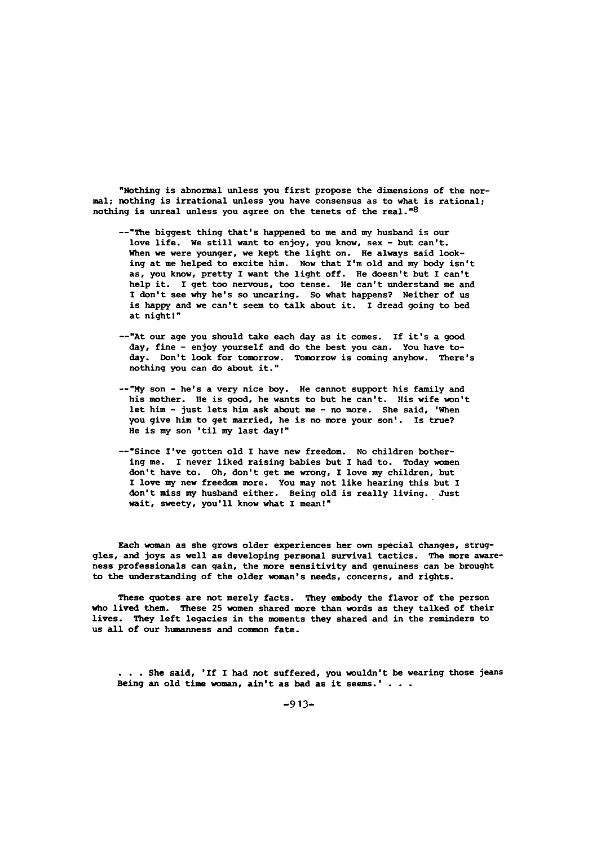"Nothing is abnormal unless you first propose the dimensions of the normal; nothing is irrational unless you have consensus as to what is rational; nothing is unreal unless you agree on the tenets of the real."<sup>8</sup>

- -- "The biggest thing that's happened to me and my husband is our love life. We still want to enjoy, you know, sex **-** but can't. When we were younger, we kept the light on. He always said looking at me helped to excite him. Now that I'm old and my body isn't as, you know, pretty I want the light off. He doesn't but **I** can't help it. I get too nervous, too tense. He can't understand me and **I** don't see why he's so uncaring. So what happens? Neither of us is happy and we can't seem to talk about it. I dread going to bed at night!"
- --"At our age you should take each day as it comes. If it's a good day, fine **-** enjoy yourself and do the best you can. You have today. Don't look for tomorrow. Tomorrow is coming anyhow. There's nothing you can do about it."
- **--"My** son **-** he's a very nice boy. He cannot support his family and his mother. He is good, he wants to but he can't. His wife won't let him **-** just lets him ask about me **-** no more. She said, 'When you give him to get married, he is no more your son'. Is true? He is my son 'til my last dayl"
- --"Since I've gotten old I have new freedom. No children bothering me. I never liked raising babies but **I** had to. Today women don't have to. Oh, don't get me wrong, **I** love my children, but I love my new freedom more. You may not like hearing this but **I** don't miss my husband either. Being old is really living. Just wait, sweety, you'll know what I mean!"

Each woman as she grows older experiences her own special changes, struggles, and joys as well as developing personal survival tactics. The more aware ness professionals can gain, the more sensitivity and genuiness can be brought to the understanding of the older woman's needs, concerns, and rights.

These quotes are **not** merely facts. They embody the flavor of the person who lived them. These **25** women shared more than words as they talked of their lives. They left legacies in the moments they shared and in the reminders to us all of our himanness and common fate.

**. . .** She said, **'If** I had not suffered, you wouldn't be wearing those jeans Being an old time woman, ain't as bad as it **seems.' . . .**